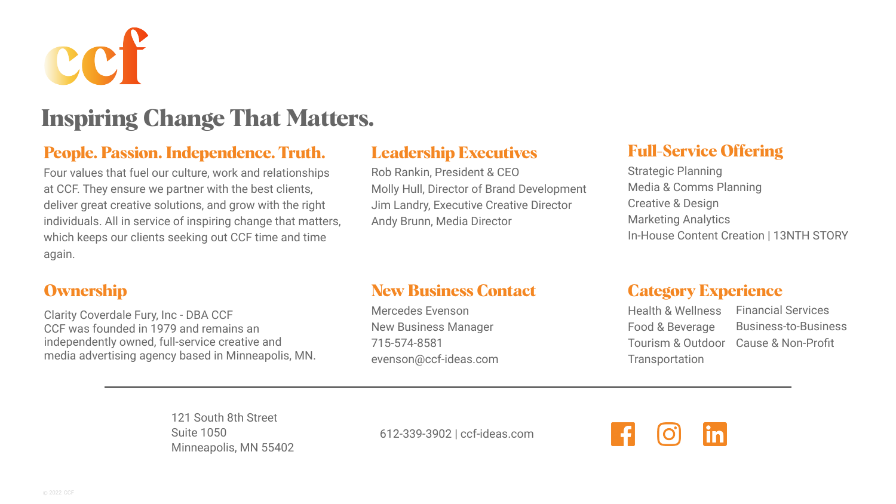Financial Services Business-to-Business





### **Full-Service Offering**

Strategic Planning Media & Comms Planning Creative & Design Marketing Analytics In-House Content Creation | 13NTH STORY

#### **Leadership Executives**

Rob Rankin, President & CEO Molly Hull, Director of Brand Development Jim Landry, Executive Creative Director Andy Brunn, Media Director

#### **People. Passion. Independence. Truth.**

Four values that fuel our culture, work and relationships at CCF. They ensure we partner with the best clients, deliver great creative solutions, and grow with the right individuals. All in service of inspiring change that matters, which keeps our clients seeking out CCF time and time again.

#### **Ownership**

Clarity Coverdale Fury, Inc - DBA CCF CCF was founded in 1979 and remains an independently owned, full-service creative and media advertising agency based in Minneapolis, MN.

## **New Business Contact**

Mercedes Evenson New Business Manager 715-574-8581 evenson@ccf-ideas.com

#### **Category Experience**

Tourism & Outdoor Cause & Non-Profit Health & Wellness Food & Beverage **Transportation** 



# **Inspiring Change That Matters.**

121 South 8th Street Suite 1050 Minneapolis, MN 55402

612-339-3902 | ccf-ideas.com